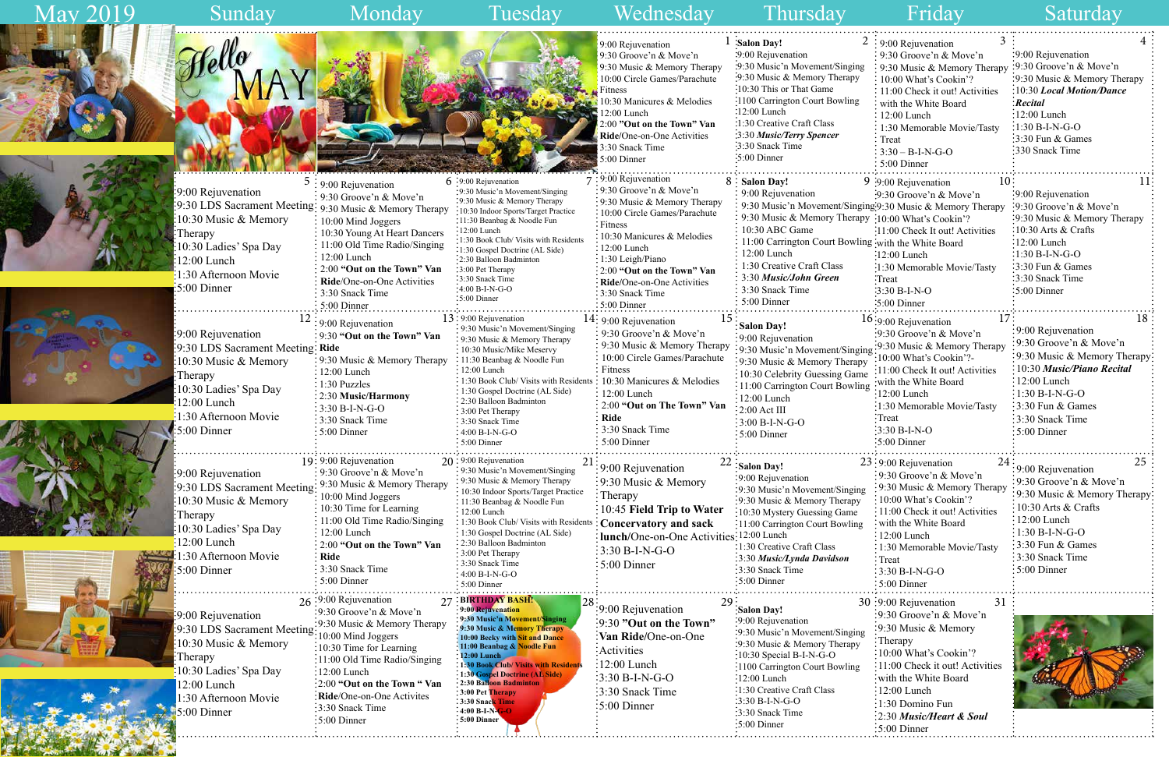

|      | 3<br>$2:9:00$ Rejuvenation          | 4                            |
|------|-------------------------------------|------------------------------|
|      | 9:30 Groove'n & Move'n              | 9:00 Rejuvenation            |
| ıg   | 9:30 Music & Memory Therapy         | 9:30 Groove'n & Move'n       |
|      | 10:00 What's Cookin'?               | 9:30 Music & Memory Therapy  |
|      | 11:00 Check it out! Activities      | 10:30 Local Motion/Dance     |
| 5    | with the White Board                | <b>Recital</b>               |
|      | $12:00$ Lunch                       | 12:00 Lunch                  |
|      | 1:30 Memorable Movie/Tasty          | $1:30 B-I-N-G-O$             |
|      | Treat                               | 3:30 Fun & Games             |
|      | $3:30 - B-I-N-G-O$                  | 330 Snack Time               |
|      | 5:00 Dinner                         |                              |
|      | 10<br>9 :9:00 Rejuvenation          | 11                           |
|      | $: 9:30$ Groove'n & Move'n          | 9:00 Rejuvenation            |
|      | ging:9:30 Music & Memory Therapy    | 9:30 Groove'n & Move'n       |
|      | apy: 10:00 What's Cookin'?          | 9:30 Music & Memory Therapy  |
|      | :11:00 Check It out! Activities     | 10:30 Arts & Crafts          |
|      | ling with the White Board           | 12:00 Lunch                  |
|      | 12:00 Lunch                         | $1:30 B-I-N-G-O$             |
|      | :1:30 Memorable Movie/Tasty         | 3:30 Fun & Games             |
|      | :Treat                              | 3:30 Snack Time              |
|      | $:3:30 B-I-N-O$                     | 5:00 Dinner                  |
|      | :5:00 Dinner                        |                              |
|      | 17<br>16:9:00 Rejuvenation          | 18                           |
|      | 9:30 Groove'n & Move'n              | 9:00 Rejuvenation            |
|      | 9:30 Music & Memory Therapy         | 9:30 Groove'n & Move'n       |
| ging | 10:00 What's Cookin'?-              | 9:30 Music & Memory Therapy  |
| pу   | 11:00 Check It out! Activities      | 10:30 Music/Piano Recital    |
| me   | with the White Board                | 12:00 Lunch                  |
| ing  | $12:00$ Lunch                       | $1:30 B-I-N-G-O$             |
|      | 1:30 Memorable Movie/Tasty          | 3:30 Fun & Games             |
|      | Treat                               | 3:30 Snack Time              |
|      | 3:30 B-I-N-O                        | 5:00 Dinner                  |
|      | 5:00 Dinner                         |                              |
|      |                                     |                              |
|      | 23:9:00 Rejuvenation<br>24          | 25<br>9:00 Rejuvenation      |
|      | 9:30 Groove'n & Move'n              | 9:30 Groove'n & Move'n       |
| ng   | 9:30 Music & Memory Therapy         | 9:30 Music & Memory Therapy: |
|      | 10:00 What's Cookin'?               | 10:30 Arts & Crafts          |
|      | $: 11:00$ Check it out! Activities  | 12:00 Lunch                  |
| ıg   | with the White Board                | 1:30 B-I-N-G-O               |
|      | $12:00$ Lunch                       | 3:30 Fun & Games             |
|      | 1:30 Memorable Movie/Tasty          | 3:30 Snack Time              |
|      | Treat                               | 5:00 Dinner                  |
|      | 3:30 B-I-N-G-O                      |                              |
|      | 5:00 Dinner                         |                              |
|      | 30 :9:00 Rejuvenation<br>31         |                              |
|      | $\frac{1}{2}9:30$ Groove'n & Move'n |                              |
|      | 9:30 Music & Memory                 |                              |
| ng   | : Therapy                           |                              |
|      | 10:00 What's Cookin'?               |                              |
| 3    | 11:00 Check it out! Activities      |                              |
|      | with the White Board                |                              |
|      | 12:00 Lunch                         |                              |
|      | 1:30 Domino Fun                     |                              |
|      | 2:30 Music/Heart & Soul             |                              |
|      | 5:00 Dinner                         |                              |
|      |                                     |                              |

May 2019